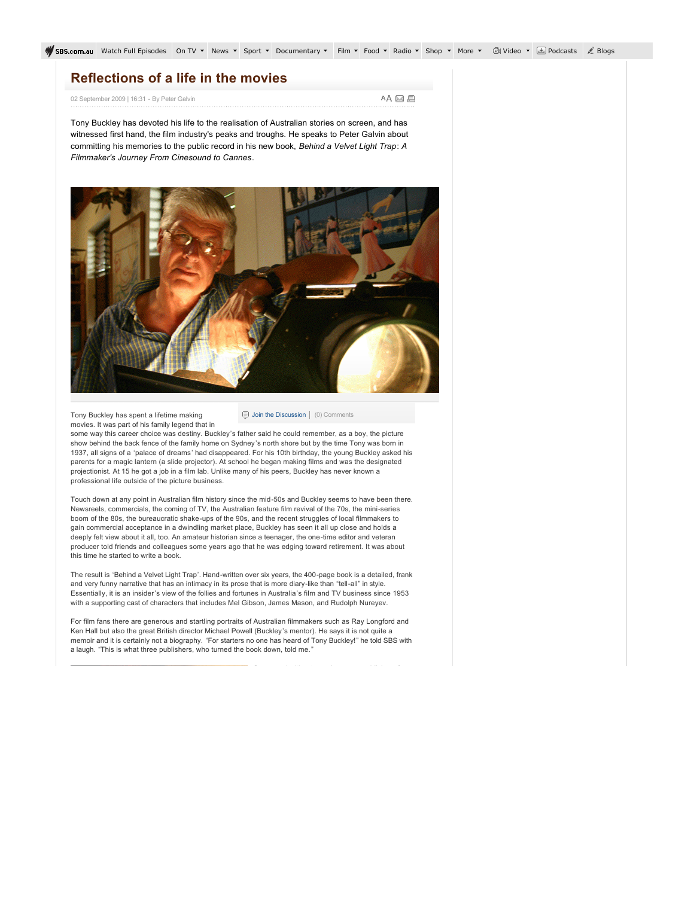## **Reflections of a life in the movies**

| 02 September 2009   16:31 - By Peter Galvin |
|---------------------------------------------|
|---------------------------------------------|

AA 区昌

Tony Buckley has devoted his life to the realisation of Australian stories on screen, and has witnessed first hand, the film industry's peaks and troughs. He speaks to Peter Galvin about committing his memories to the public record in his new book, *Behind a Velvet Light Trap*: *A Filmmaker's Journey From Cinesound to Cannes*.



Tony Buckley has spent a lifetime making movies. It was part of his family legend that in  $\Box$  [Join the Discussion](http://www.sbs.com.au/films/print/index/printType/Article/articleId/7882#join_the_discussion)  $|$  (0) Comments

some way this career choice was destiny. Buckley's father said he could remember, as a boy, the picture show behind the back fence of the family home on Sydney's north shore but by the time Tony was born in 1937, all signs of a 'palace of dreams' had disappeared. For his 10th birthday, the young Buckley asked his parents for a magic lantern (a slide projector). At school he began making films and was the designated projectionist. At 15 he got a job in a film lab. Unlike many of his peers, Buckley has never known a professional life outside of the picture business.

Touch down at any point in Australian film history since the mid-50s and Buckley seems to have been there. Newsreels, commercials, the coming of TV, the Australian feature film revival of the 70s, the miniseries boom of the 80s, the bureaucratic shake-ups of the 90s, and the recent struggles of local filmmakers to gain commercial acceptance in a dwindling market place, Buckley has seen it all up close and holds a deeply felt view about it all, too. An amateur historian since a teenager, the one-time editor and veteran producer told friends and colleagues some years ago that he was edging toward retirement. It was about this time he started to write a book.

The result is 'Behind a Velvet Light Trap'. Hand-written over six years, the 400-page book is a detailed, frank and very funny narrative that has an intimacy in its prose that is more diary-like than "tell-all" in style. Essentially, it is an insider's view of the follies and fortunes in Australia's film and TV business since 1953 with a supporting cast of characters that includes Mel Gibson, James Mason, and Rudolph Nureyev.

For film fans there are generous and startling portraits of Australian filmmakers such as Ray Longford and Ken Hall but also the great British director Michael Powell (Buckley's mentor). He says it is not quite a memoir and it is certainly not a biography. "For starters no one has heard of Tony Buckley!" he told SBS with a laugh. "This is what three publishers, who turned the book down, told me."